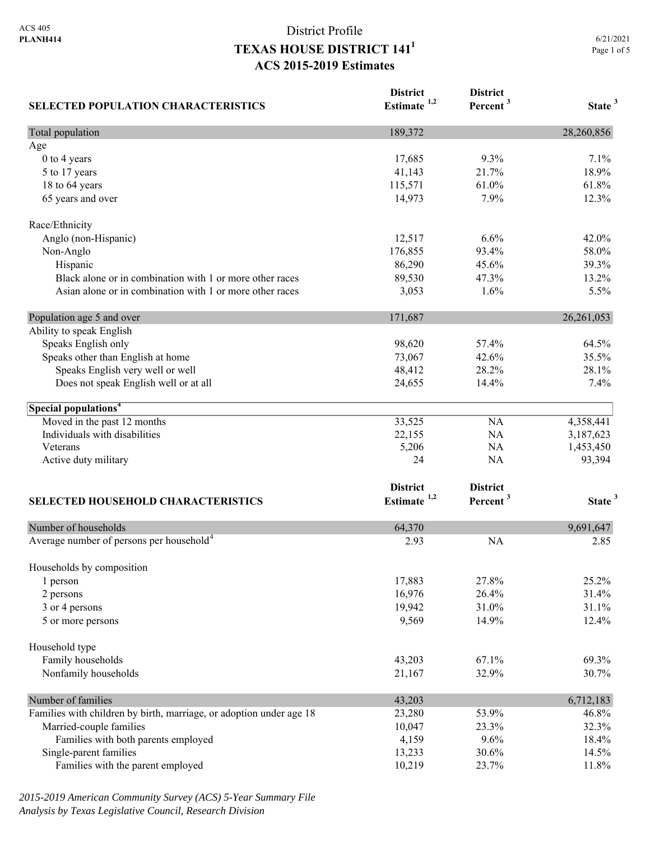| <b>SELECTED POPULATION CHARACTERISTICS</b>                          | <b>District</b><br>Estimate <sup>1,2</sup> | <b>District</b><br>Percent <sup>3</sup> | State <sup>3</sup> |
|---------------------------------------------------------------------|--------------------------------------------|-----------------------------------------|--------------------|
| Total population                                                    | 189,372                                    |                                         | 28,260,856         |
| Age                                                                 |                                            |                                         |                    |
| 0 to 4 years                                                        | 17,685                                     | 9.3%                                    | 7.1%               |
| 5 to 17 years                                                       | 41,143                                     | 21.7%                                   | 18.9%              |
| 18 to 64 years                                                      | 115,571                                    | 61.0%                                   | 61.8%              |
| 65 years and over                                                   | 14,973                                     | 7.9%                                    | 12.3%              |
| Race/Ethnicity                                                      |                                            |                                         |                    |
| Anglo (non-Hispanic)                                                | 12,517                                     | 6.6%                                    | 42.0%              |
| Non-Anglo                                                           | 176,855                                    | 93.4%                                   | 58.0%              |
| Hispanic                                                            | 86,290                                     | 45.6%                                   | 39.3%              |
| Black alone or in combination with 1 or more other races            | 89,530                                     | 47.3%                                   | 13.2%              |
| Asian alone or in combination with 1 or more other races            | 3,053                                      | 1.6%                                    | 5.5%               |
| Population age 5 and over                                           | 171,687                                    |                                         | 26, 261, 053       |
| Ability to speak English                                            |                                            |                                         |                    |
| Speaks English only                                                 | 98,620                                     | 57.4%                                   | 64.5%              |
| Speaks other than English at home                                   | 73,067                                     | 42.6%                                   | 35.5%              |
| Speaks English very well or well                                    | 48,412                                     | 28.2%                                   | 28.1%              |
| Does not speak English well or at all                               | 24,655                                     | 14.4%                                   | 7.4%               |
| Special populations <sup>4</sup>                                    |                                            |                                         |                    |
| Moved in the past 12 months                                         | 33,525                                     | NA                                      | 4,358,441          |
| Individuals with disabilities                                       | 22,155                                     | NA                                      | 3,187,623          |
| Veterans                                                            | 5,206                                      | NA                                      | 1,453,450          |
| Active duty military                                                | 24                                         | NA                                      | 93,394             |
|                                                                     | <b>District</b>                            | <b>District</b>                         |                    |
| <b>SELECTED HOUSEHOLD CHARACTERISTICS</b>                           | Estimate <sup>1,2</sup>                    | Percent <sup>3</sup>                    | State <sup>3</sup> |
| Number of households                                                | 64,370                                     |                                         | 9,691,647          |
| Average number of persons per household <sup>4</sup>                | 2.93                                       | <b>NA</b>                               | 2.85               |
| Households by composition                                           |                                            |                                         |                    |
| 1 person                                                            | 17,883                                     | 27.8%                                   | 25.2%              |
| 2 persons                                                           | 16,976                                     | 26.4%                                   | 31.4%              |
| 3 or 4 persons                                                      | 19,942                                     | 31.0%                                   | 31.1%              |
| 5 or more persons                                                   | 9,569                                      | 14.9%                                   | 12.4%              |
| Household type                                                      |                                            |                                         |                    |
| Family households                                                   | 43,203                                     | 67.1%                                   | 69.3%              |
| Nonfamily households                                                | 21,167                                     | 32.9%                                   | 30.7%              |
| Number of families                                                  | 43,203                                     |                                         | 6,712,183          |
| Families with children by birth, marriage, or adoption under age 18 | 23,280                                     | 53.9%                                   | 46.8%              |
| Married-couple families                                             | 10,047                                     | 23.3%                                   | 32.3%              |
| Families with both parents employed                                 | 4,159                                      | 9.6%                                    | 18.4%              |
| Single-parent families                                              | 13,233                                     | 30.6%                                   | 14.5%              |
| Families with the parent employed                                   | 10,219                                     | 23.7%                                   | 11.8%              |

*2015-2019 American Community Survey (ACS) 5-Year Summary File Analysis by Texas Legislative Council, Research Division*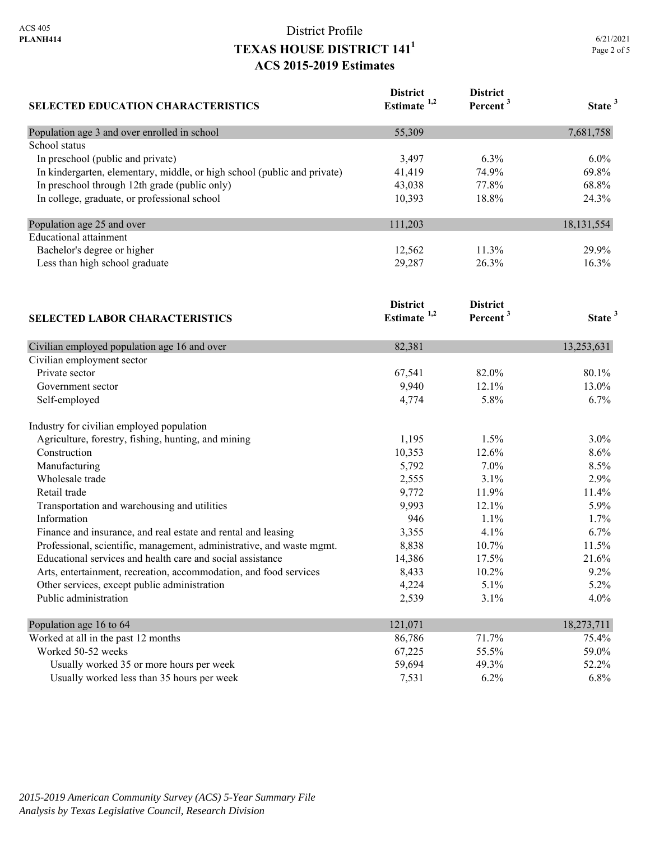| SELECTED EDUCATION CHARACTERISTICS                                       | <b>District</b><br>Estimate <sup>1,2</sup> | <b>District</b><br>Percent <sup>3</sup> | State <sup>3</sup> |
|--------------------------------------------------------------------------|--------------------------------------------|-----------------------------------------|--------------------|
| Population age 3 and over enrolled in school                             | 55,309                                     |                                         | 7,681,758          |
| School status                                                            |                                            |                                         |                    |
| In preschool (public and private)                                        | 3,497                                      | 6.3%                                    | $6.0\%$            |
| In kindergarten, elementary, middle, or high school (public and private) | 41,419                                     | 74.9%                                   | 69.8%              |
| In preschool through 12th grade (public only)                            | 43,038                                     | 77.8%                                   | 68.8%              |
| In college, graduate, or professional school                             | 10,393                                     | 18.8%                                   | 24.3%              |
| Population age 25 and over                                               | 111,203                                    |                                         | 18,131,554         |
| <b>Educational</b> attainment                                            |                                            |                                         |                    |
| Bachelor's degree or higher                                              | 12,562                                     | 11.3%                                   | 29.9%              |
| Less than high school graduate<br><b>SELECTED LABOR CHARACTERISTICS</b>  | 29,287                                     | 26.3%                                   | 16.3%              |
|                                                                          | <b>District</b><br>Estimate $1,2$          | <b>District</b><br>Percent <sup>3</sup> | State <sup>3</sup> |
| Civilian employed population age 16 and over                             | 82,381                                     |                                         | 13,253,631         |
| Civilian employment sector                                               |                                            |                                         |                    |
| Private sector                                                           | 67,541                                     | 82.0%                                   | 80.1%              |
| Government sector                                                        | 9,940                                      | 12.1%                                   | 13.0%              |
| Self-employed                                                            | 4,774                                      | 5.8%                                    | 6.7%               |
| Industry for civilian employed population                                |                                            |                                         |                    |
| Agriculture, forestry, fishing, hunting, and mining                      | 1,195                                      | 1.5%                                    | 3.0%               |
| Construction                                                             | 10,353                                     | 12.6%                                   | 8.6%               |
| Manufacturing                                                            | 5,792                                      | 7.0%                                    | 8.5%               |
| Wholesale trade                                                          | 2,555                                      | 3.1%                                    | 2.9%               |
| Retail trade                                                             | 9,772                                      | 11.9%                                   | 11.4%              |
| Transportation and warehousing and utilities                             | 9,993                                      | 12.1%                                   | 5.9%               |
| Information                                                              | 946                                        | 1.1%                                    | 1.7%               |
| Finance and insurance, and real estate and rental and leasing            | 3,355                                      | 4.1%                                    | 6.7%               |
| Professional, scientific, management, administrative, and waste mgmt.    | 8,838                                      | 10.7%                                   | 11.5%              |
| Educational services and health care and social assistance               | 14,386                                     | 17.5%                                   | 21.6%              |
| Arts, entertainment, recreation, accommodation, and food services        | 8,433                                      | 10.2%                                   | 9.2%               |
| Other services, except public administration                             | 4,224                                      | 5.1%                                    | 5.2%               |
| Public administration                                                    | 2,539                                      | 3.1%                                    | 4.0%               |
| Population age 16 to 64                                                  | 121,071                                    |                                         | 18,273,711         |
| Worked at all in the past 12 months                                      | 86,786                                     | 71.7%                                   | 75.4%              |
| Worked 50-52 weeks                                                       | 67,225                                     | 55.5%                                   | 59.0%              |
| Usually worked 35 or more hours per week                                 | 59,694                                     | 49.3%                                   | 52.2%              |
| Usually worked less than 35 hours per week                               | 7,531                                      | 6.2%                                    | 6.8%               |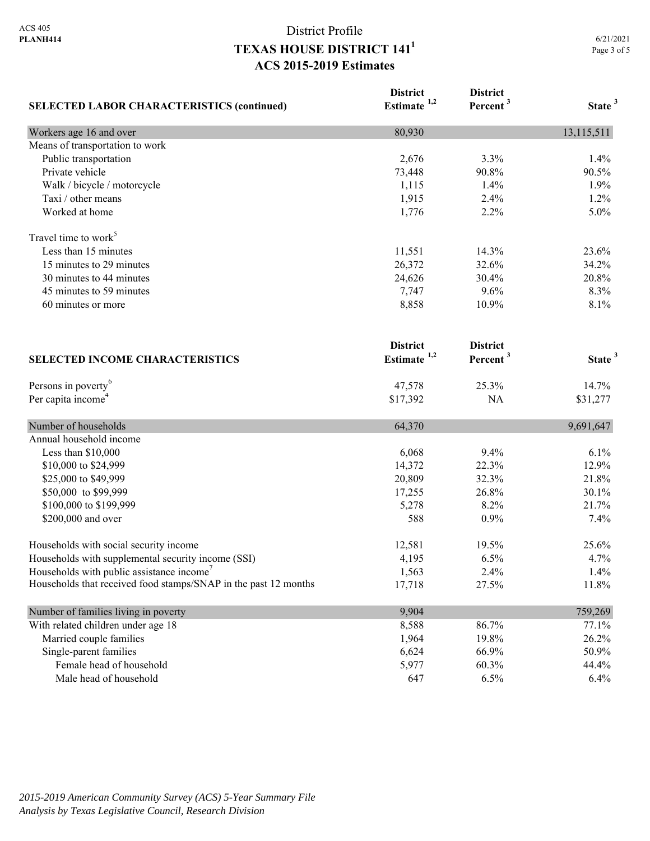| <b>SELECTED LABOR CHARACTERISTICS (continued)</b>               | <b>District</b><br>Estimate <sup>1,2</sup> | <b>District</b><br>Percent <sup>3</sup> | State <sup>3</sup> |
|-----------------------------------------------------------------|--------------------------------------------|-----------------------------------------|--------------------|
|                                                                 |                                            |                                         |                    |
| Means of transportation to work                                 |                                            |                                         |                    |
| Public transportation                                           | 2,676                                      | 3.3%                                    | 1.4%               |
| Private vehicle                                                 | 73,448                                     | 90.8%                                   | 90.5%              |
| Walk / bicycle / motorcycle                                     | 1,115                                      | 1.4%                                    | 1.9%               |
| Taxi / other means                                              | 1,915                                      | 2.4%                                    | 1.2%               |
| Worked at home                                                  | 1,776                                      | 2.2%                                    | 5.0%               |
| Travel time to work <sup>5</sup>                                |                                            |                                         |                    |
| Less than 15 minutes                                            | 11,551                                     | 14.3%                                   | 23.6%              |
| 15 minutes to 29 minutes                                        | 26,372                                     | 32.6%                                   | 34.2%              |
| 30 minutes to 44 minutes                                        | 24,626                                     | 30.4%                                   | 20.8%              |
| 45 minutes to 59 minutes                                        | 7,747                                      | 9.6%                                    | 8.3%               |
| 60 minutes or more                                              | 8,858                                      | 10.9%                                   | 8.1%               |
|                                                                 | <b>District</b>                            | <b>District</b>                         |                    |
| <b>SELECTED INCOME CHARACTERISTICS</b>                          | Estimate $1,2$                             | Percent <sup>3</sup>                    | State <sup>3</sup> |
| Persons in poverty <sup>6</sup>                                 | 47,578                                     | 25.3%                                   | 14.7%              |
| Per capita income <sup>4</sup>                                  | \$17,392                                   | <b>NA</b>                               | \$31,277           |
| Number of households                                            | 64,370                                     |                                         | 9,691,647          |
| Annual household income                                         |                                            |                                         |                    |
| Less than \$10,000                                              | 6,068                                      | 9.4%                                    | 6.1%               |
| \$10,000 to \$24,999                                            | 14,372                                     | 22.3%                                   | 12.9%              |
| \$25,000 to \$49,999                                            | 20,809                                     | 32.3%                                   | 21.8%              |
| \$50,000 to \$99,999                                            | 17,255                                     | 26.8%                                   | 30.1%              |
| \$100,000 to \$199,999                                          | 5,278                                      | 8.2%                                    | 21.7%              |
| \$200,000 and over                                              | 588                                        | 0.9%                                    | 7.4%               |
| Households with social security income                          | 12,581                                     | 19.5%                                   | 25.6%              |
| Households with supplemental security income (SSI)              | 4,195                                      | 6.5%                                    | 4.7%               |
| Households with public assistance income'                       | 1,563                                      | 2.4%                                    | 1.4%               |
| Households that received food stamps/SNAP in the past 12 months | 17,718                                     | 27.5%                                   | 11.8%              |
| Number of families living in poverty                            | 9,904                                      |                                         | 759,269            |
| With related children under age 18                              | 8,588                                      | 86.7%                                   | 77.1%              |
| Married couple families                                         | 1,964                                      | 19.8%                                   | 26.2%              |
| Single-parent families                                          | 6,624                                      | 66.9%                                   | 50.9%              |
| Female head of household                                        | 5,977                                      | 60.3%                                   | 44.4%              |
| Male head of household                                          | 647                                        | 6.5%                                    | 6.4%               |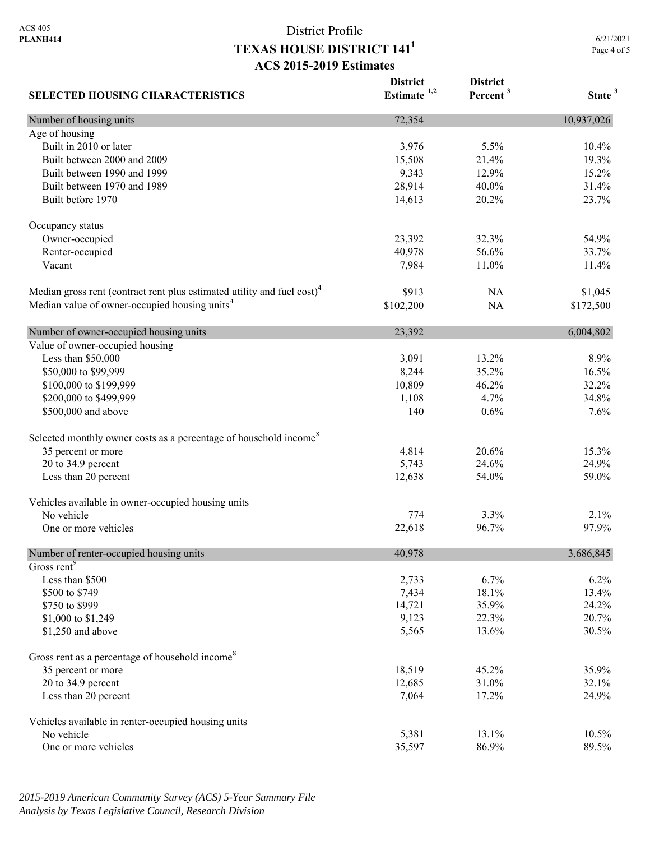**District** 

**District** 

**SELECTED HOUSING CHARACTERISTICS Estimate 1,2 Percent <sup>3</sup> State <sup>3</sup>** Number of housing units 10,937,026 Age of housing Built in 2010 or later 10.4% 10.4% 10.4% 10.4% 10.4% 10.4% 10.4% 10.5% 10.4% 10.4% Built between 2000 and 2009 15,508 21.4% 19.3% 19.3% Built between 1990 and 1999 **9,343** 12.9% 15.2% Built between 1970 and 1989 28,914 40.0% 31.4% Built before 1970 23.7% 23.7% Occupancy status Owner-occupied 23,392 32.3% 54.9% Renter-occupied 33.7% 33.7% Vacant 11.4% 11.4% 11.4% 11.6 and 11.4% 11.6 and 11.4 and 11.4 and 11.4 and 11.4 and 11.4 and 11.4 and 11.4 and 11.4 and 11.4 and 11.4 and 11.4 and 11.4 and 11.4 and 11.4 and 11.4 and 11.4 and 11.4 and 11.4 and 11.4 and 11 Median gross rent (contract rent plus estimated utility and fuel cost)<sup>4</sup> \$913 NA \$1,045 Median value of owner-occupied housing units<sup>4</sup> \$102,200 NA \$172,500 Number of owner-occupied housing units 23,392 6,004,802 Value of owner-occupied housing Less than \$50,000 3,091 13.2% 8.9% \$50,000 to \$99,999 8,244 35.2% 16.5% \$100,000 to \$199,999 10,809 10,809 46.2% 32.2% \$200,000 to \$499,999 1,108 4.7% 34.8% \$500,000 and above 140 0.6% 7.6% 7.6% 7.6% Selected monthly owner costs as a percentage of household income<sup>8</sup> 35 percent or more 15.3% 15.3% 20 to 34.9 percent 24.9% 24.9% 24.9% 25,743 24.6% 24.9% Less than 20 percent 59.0% 59.0% 59.0% 59.0% 59.0% 59.0% 59.0% 59.0% 59.0% 59.0% 59.0% 59.0% 59.0% 59.0% 59.0% Vehicles available in owner-occupied housing units No vehicle  $2.1\%$ One or more vehicles 8 and 22.618 96.7% 97.9% 97.9% Number of renter-occupied housing units 40,978 3,686,845 Gross rent<sup>9</sup> Less than \$500 2,733 6.7% 6.2% \$500 to \$749 13.4% 13.4% 13.4% 18.1% 13.4% 18.1% 13.4%  $\frac{$750 \text{ to } $999}$  24.2% 24.2%  $$1,000$  to \$1,249 20.7% 20.7% \$1,250 and above 30.5% 30.5% 30.5% 30.5% 30.5% 30.5% 30.5% 30.5% 30.5% 30.5% 30.5% 30.5% 30.5% 30.5% 30.5% 30.5% 30.5% 30.5% 30.5% 30.5% 30.5% 30.5% 30.5% 30.5% 30.5% 30.5% 30.5% 30.5% 30.5% 30.5% 30.5% 30.5% 30.5% 30.5% 3 Gross rent as a percentage of household income<sup>8</sup> 35 percent or more 18,519 45.2% 35.9% 20 to 34.9 percent 12,685 31.0% 32.1% 32.1% Less than 20 percent 24.9% 24.9% 26.0 method of the 17.2% 24.9% Vehicles available in renter-occupied housing units No vehicle 10.5% and 13.1% 13.1% 10.5% 10.5% One or more vehicles 89.5% 89.5% 89.5% 86.9% 89.5%